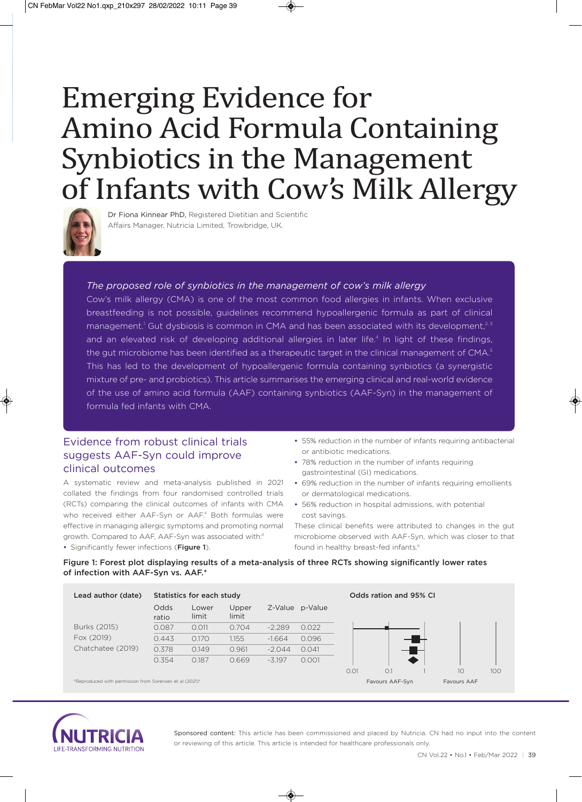# Emerging Evidence for Amino Acid Formula Containing Synbiotics in the Management of Infants with Cow's Milk Allergy



Dr Fiona Kinnear PhD, Registered Dietitian and Scientific Affairs Manager, Nutricia Limited, Trowbridge, UK.

#### *The proposed role of synbiotics in the management of cow's milk allergy*

Cow's milk allergy (CMA) is one of the most common food allergies in infants. When exclusive breastfeeding is not possible, guidelines recommend hypoallergenic formula as part of clinical management.<sup>1</sup> Gut dysbiosis is common in CMA and has been associated with its development,<sup>2,3</sup> and an elevated risk of developing additional allergies in later life.<sup>4</sup> In light of these findings, the gut microbiome has been identified as a therapeutic target in the clinical management of CMA.<sup>5</sup> This has led to the development of hypoallergenic formula containing synbiotics (a synergistic mixture of pre- and probiotics). This article summarises the emerging clinical and real-world evidence of the use of amino acid formula (AAF) containing synbiotics (AAF-Syn) in the management of formula fed infants with CMA.

## Evidence from robust clinical trials suggests AAF-Syn could improve clinical outcomes

A systematic review and meta-analysis published in 2021 collated the findings from four randomised controlled trials (RCTs) comparing the clinical outcomes of infants with CMA who received either AAF-Syn or AAF.<sup>6</sup> Both formulas were effective in managing allergic symptoms and promoting normal growth. Compared to AAF, AAF-Syn was associated with:<sup>6</sup>

• Significantly fewer infections (Figure 1).

- 55% reduction in the number of infants requiring antibacterial or antibiotic medications.
- 78% reduction in the number of infants requiring gastrointestinal (GI) medications.
- 69% reduction in the number of infants requiring emollients or dermatological medications.
- 56% reduction in hospital admissions, with potential cost savings.

These clinical benefits were attributed to changes in the gut microbiome observed with AAF-Syn, which was closer to that found in healthy breast-fed infants.<sup>6</sup>

#### Figure 1: Forest plot displaying results of a meta-analysis of three RCTs showing significantly lower rates of infection with AAF-Syn vs. AAF.\*





Sponsored content: This article has been commissioned and placed by Nutricia. CN had no input into the content or reviewing of this article. This article is intended for healthcare professionals only.